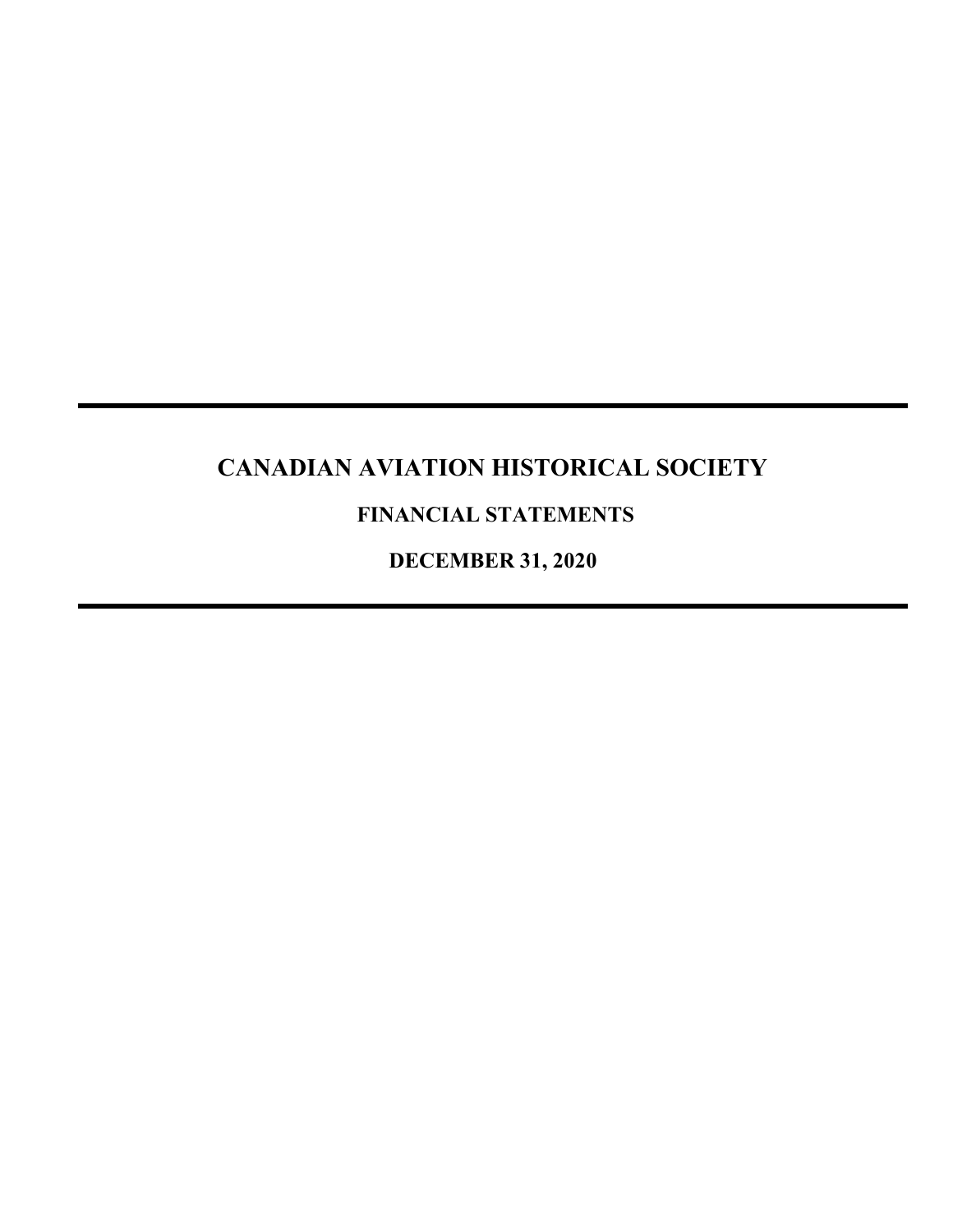FINANCIAL STATEMENTS

DECEMBER 31, 2020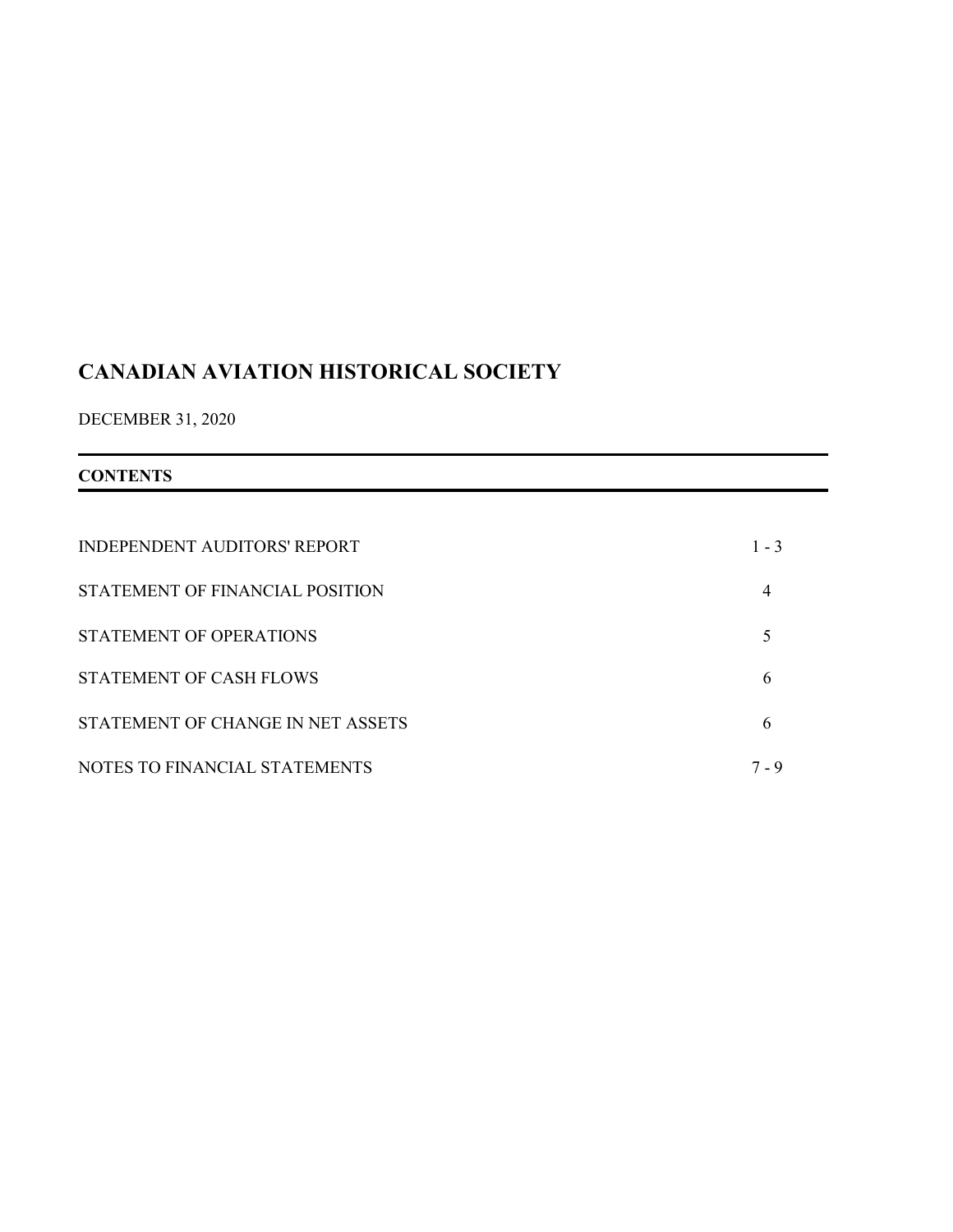## DECEMBER 31, 2020

## **CONTENTS**

| <b>INDEPENDENT AUDITORS' REPORT</b> | $1 - 3$ |
|-------------------------------------|---------|
| STATEMENT OF FINANCIAL POSITION     | 4       |
| STATEMENT OF OPERATIONS             |         |
| STATEMENT OF CASH FLOWS             | 6       |
| STATEMENT OF CHANGE IN NET ASSETS   | 6       |
| NOTES TO FINANCIAL STATEMENTS       | 7 - 9   |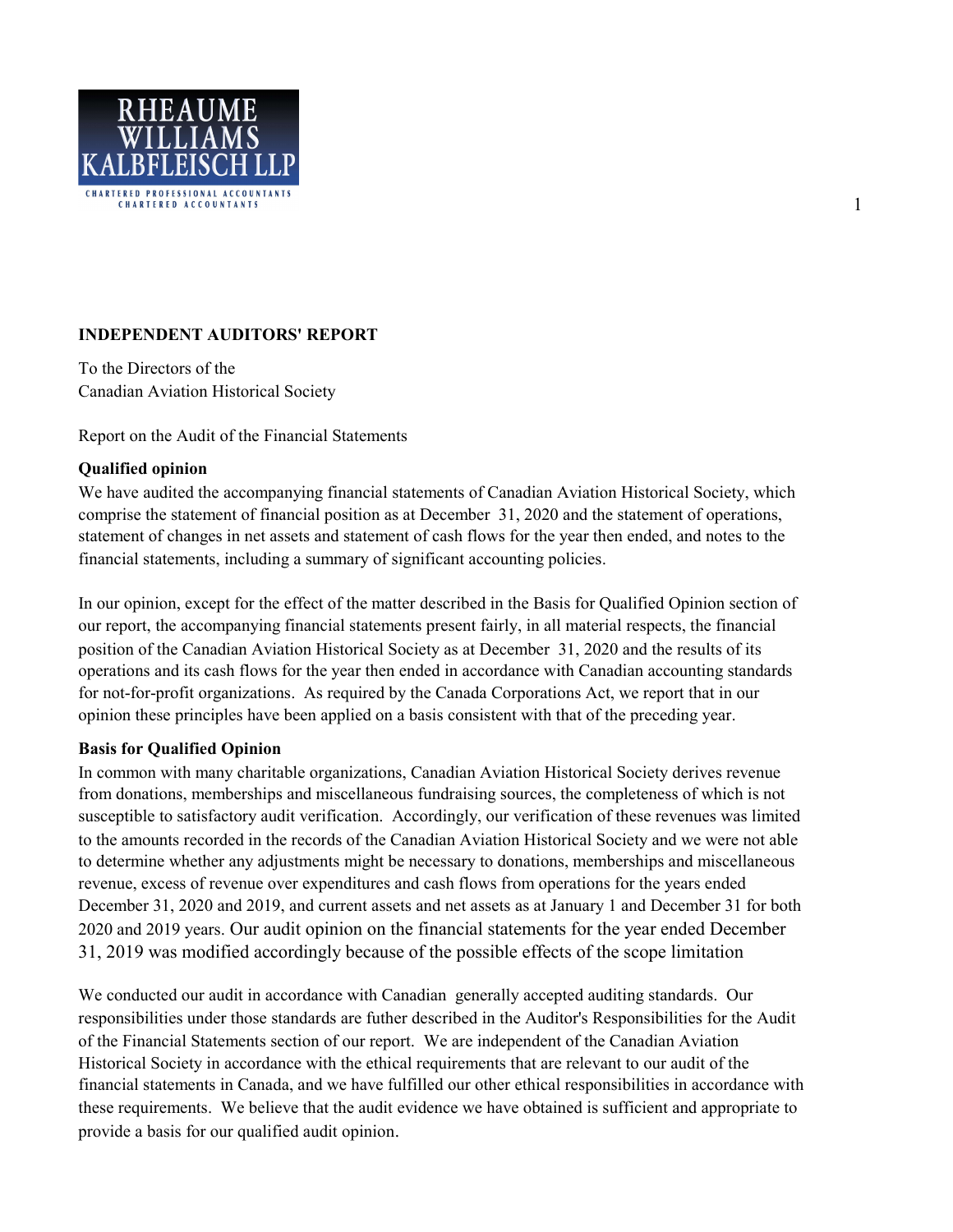

### INDEPENDENT AUDITORS' REPORT

To the Directors of the Canadian Aviation Historical Society

Report on the Audit of the Financial Statements

#### Qualified opinion

We have audited the accompanying financial statements of Canadian Aviation Historical Society, which comprise the statement of financial position as at December 31, 2020 and the statement of operations, statement of changes in net assets and statement of cash flows for the year then ended, and notes to the financial statements, including a summary of significant accounting policies.

In our opinion, except for the effect of the matter described in the Basis for Qualified Opinion section of our report, the accompanying financial statements present fairly, in all material respects, the financial position of the Canadian Aviation Historical Society as at December 31, 2020 and the results of its operations and its cash flows for the year then ended in accordance with Canadian accounting standards for not-for-profit organizations. As required by the Canada Corporations Act, we report that in our opinion these principles have been applied on a basis consistent with that of the preceding year.

### Basis for Qualified Opinion

In common with many charitable organizations, Canadian Aviation Historical Society derives revenue from donations, memberships and miscellaneous fundraising sources, the completeness of which is not susceptible to satisfactory audit verification. Accordingly, our verification of these revenues was limited to the amounts recorded in the records of the Canadian Aviation Historical Society and we were not able to determine whether any adjustments might be necessary to donations, memberships and miscellaneous revenue, excess of revenue over expenditures and cash flows from operations for the years ended December 31, 2020 and 2019, and current assets and net assets as at January 1 and December 31 for both 2020 and 2019 years. Our audit opinion on the financial statements for the year ended December 31, 2019 was modified accordingly because of the possible effects of the scope limitation

We conducted our audit in accordance with Canadian generally accepted auditing standards. Our responsibilities under those standards are futher described in the Auditor's Responsibilities for the Audit of the Financial Statements section of our report. We are independent of the Canadian Aviation Historical Society in accordance with the ethical requirements that are relevant to our audit of the financial statements in Canada, and we have fulfilled our other ethical responsibilities in accordance with these requirements. We believe that the audit evidence we have obtained is sufficient and appropriate to provide a basis for our qualified audit opinion.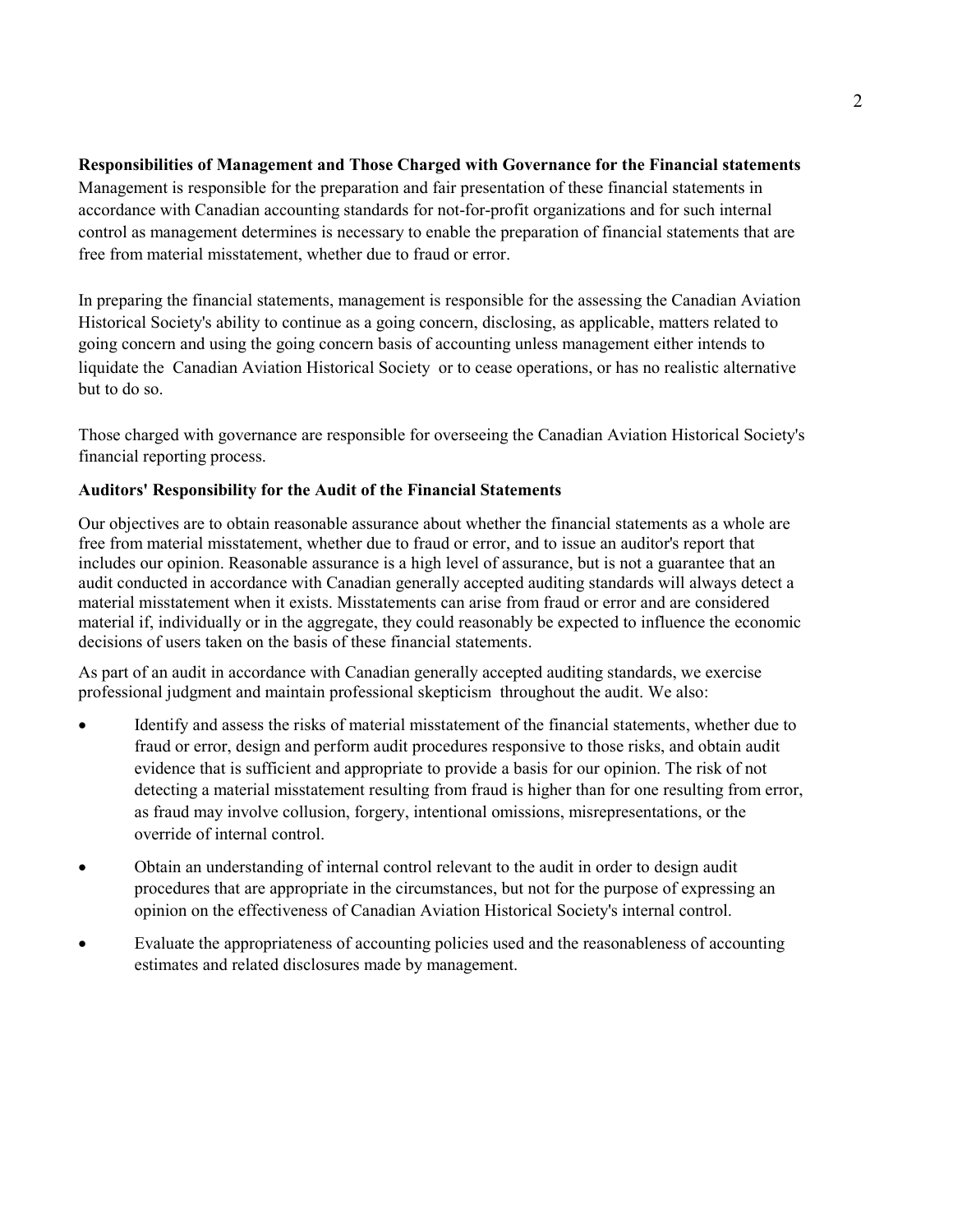#### Responsibilities of Management and Those Charged with Governance for the Financial statements

Management is responsible for the preparation and fair presentation of these financial statements in accordance with Canadian accounting standards for not-for-profit organizations and for such internal control as management determines is necessary to enable the preparation of financial statements that are free from material misstatement, whether due to fraud or error.

In preparing the financial statements, management is responsible for the assessing the Canadian Aviation Historical Society's ability to continue as a going concern, disclosing, as applicable, matters related to going concern and using the going concern basis of accounting unless management either intends to liquidate the Canadian Aviation Historical Society or to cease operations, or has no realistic alternative but to do so.

Those charged with governance are responsible for overseeing the Canadian Aviation Historical Society's financial reporting process.

#### Auditors' Responsibility for the Audit of the Financial Statements

Our objectives are to obtain reasonable assurance about whether the financial statements as a whole are free from material misstatement, whether due to fraud or error, and to issue an auditor's report that includes our opinion. Reasonable assurance is a high level of assurance, but is not a guarantee that an audit conducted in accordance with Canadian generally accepted auditing standards will always detect a material misstatement when it exists. Misstatements can arise from fraud or error and are considered material if, individually or in the aggregate, they could reasonably be expected to influence the economic decisions of users taken on the basis of these financial statements.

As part of an audit in accordance with Canadian generally accepted auditing standards, we exercise professional judgment and maintain professional skepticism throughout the audit. We also:

- Identify and assess the risks of material misstatement of the financial statements, whether due to fraud or error, design and perform audit procedures responsive to those risks, and obtain audit evidence that is sufficient and appropriate to provide a basis for our opinion. The risk of not detecting a material misstatement resulting from fraud is higher than for one resulting from error, as fraud may involve collusion, forgery, intentional omissions, misrepresentations, or the override of internal control.
- Obtain an understanding of internal control relevant to the audit in order to design audit procedures that are appropriate in the circumstances, but not for the purpose of expressing an opinion on the effectiveness of Canadian Aviation Historical Society's internal control.
- Evaluate the appropriateness of accounting policies used and the reasonableness of accounting estimates and related disclosures made by management.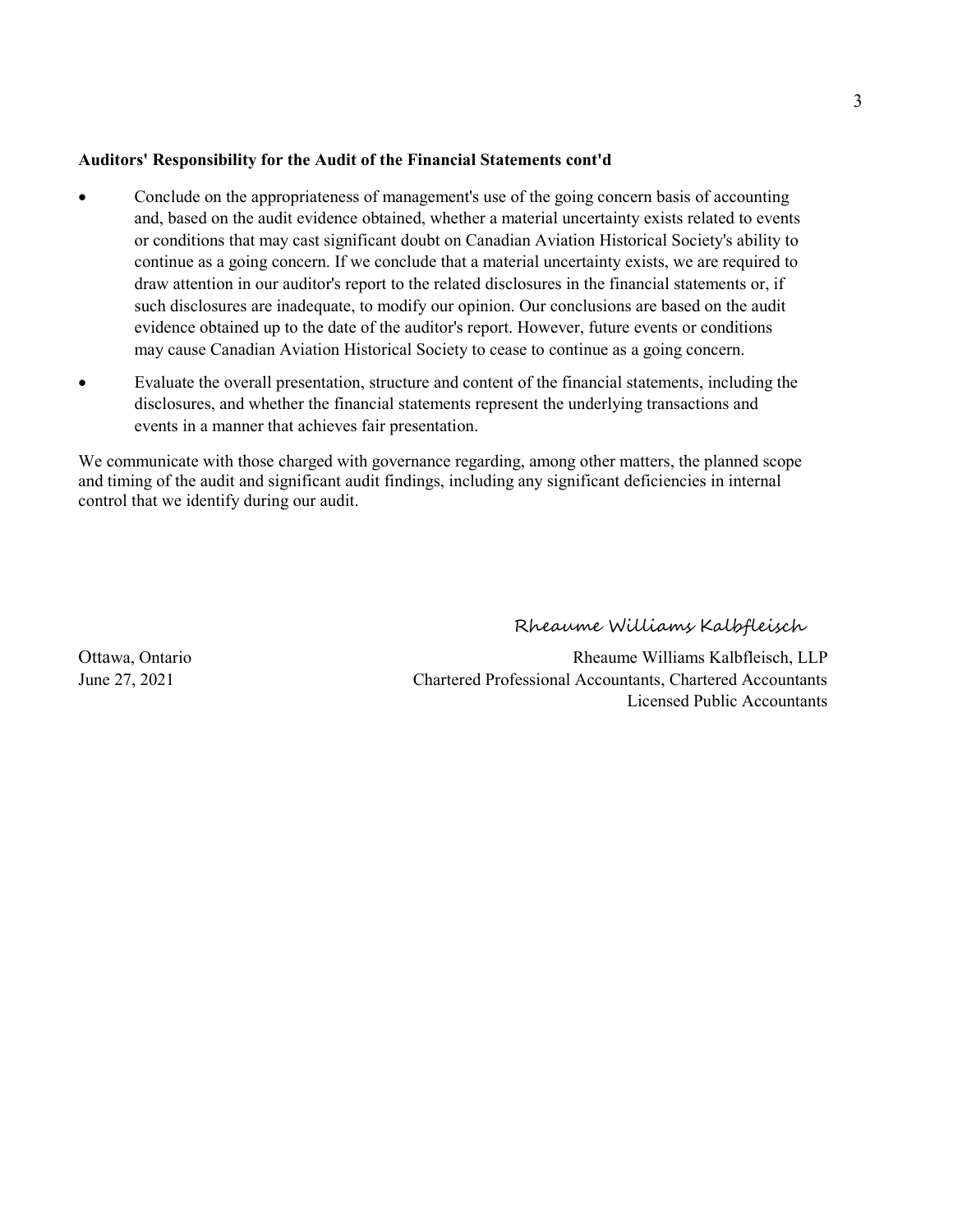#### Auditors' Responsibility for the Audit of the Financial Statements cont'd

- Conclude on the appropriateness of management's use of the going concern basis of accounting and, based on the audit evidence obtained, whether a material uncertainty exists related to events or conditions that may cast significant doubt on Canadian Aviation Historical Society's ability to continue as a going concern. If we conclude that a material uncertainty exists, we are required to draw attention in our auditor's report to the related disclosures in the financial statements or, if such disclosures are inadequate, to modify our opinion. Our conclusions are based on the audit evidence obtained up to the date of the auditor's report. However, future events or conditions may cause Canadian Aviation Historical Society to cease to continue as a going concern.
- Evaluate the overall presentation, structure and content of the financial statements, including the disclosures, and whether the financial statements represent the underlying transactions and events in a manner that achieves fair presentation.

We communicate with those charged with governance regarding, among other matters, the planned scope and timing of the audit and significant audit findings, including any significant deficiencies in internal control that we identify during our audit.

Rheaume Williams Kalbfleisch

Ottawa, Ontario **Rheaume Williams Kalbfleisch, LLP** June 27, 2021 Chartered Professional Accountants, Chartered Accountants Licensed Public Accountants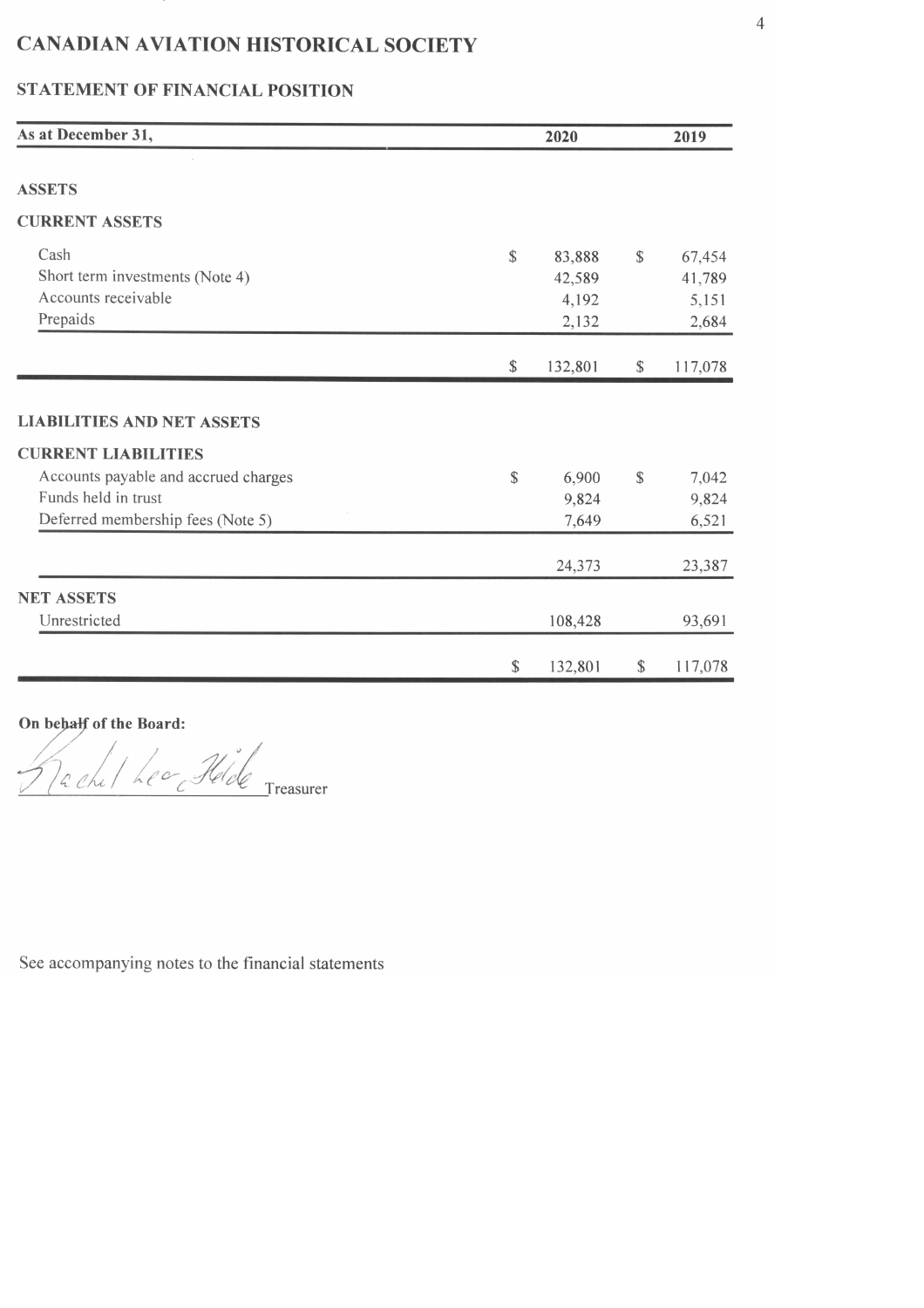# STATEMENT OF FINANCIAL POSITION

| As at December 31,                   |                | 2020    |              | 2019    |
|--------------------------------------|----------------|---------|--------------|---------|
| <b>ASSETS</b>                        |                |         |              |         |
| <b>CURRENT ASSETS</b>                |                |         |              |         |
| Cash                                 | \$             | 83,888  | $\mathbb{S}$ | 67,454  |
| Short term investments (Note 4)      |                | 42,589  |              | 41,789  |
| Accounts receivable                  |                | 4,192   |              | 5,151   |
| Prepaids                             |                | 2,132   |              | 2,684   |
|                                      | \$             | 132,801 | \$           | 117,078 |
| <b>LIABILITIES AND NET ASSETS</b>    |                |         |              |         |
| <b>CURRENT LIABILITIES</b>           |                |         |              |         |
| Accounts payable and accrued charges | $$\mathbb{S}$$ | 6,900   | $\mathbb{S}$ | 7,042   |
| Funds held in trust                  |                | 9,824   |              | 9,824   |
| Deferred membership fees (Note 5)    |                | 7,649   |              | 6,521   |
|                                      |                | 24,373  |              | 23,387  |
| <b>NET ASSETS</b>                    |                |         |              |         |
| Unrestricted                         |                | 108,428 |              | 93,691  |
|                                      | \$             | 132,801 | \$           | 117,078 |

On behalf of the Board:

Rachel Lec Helde Treasurer

See accompanying notes to the financial statements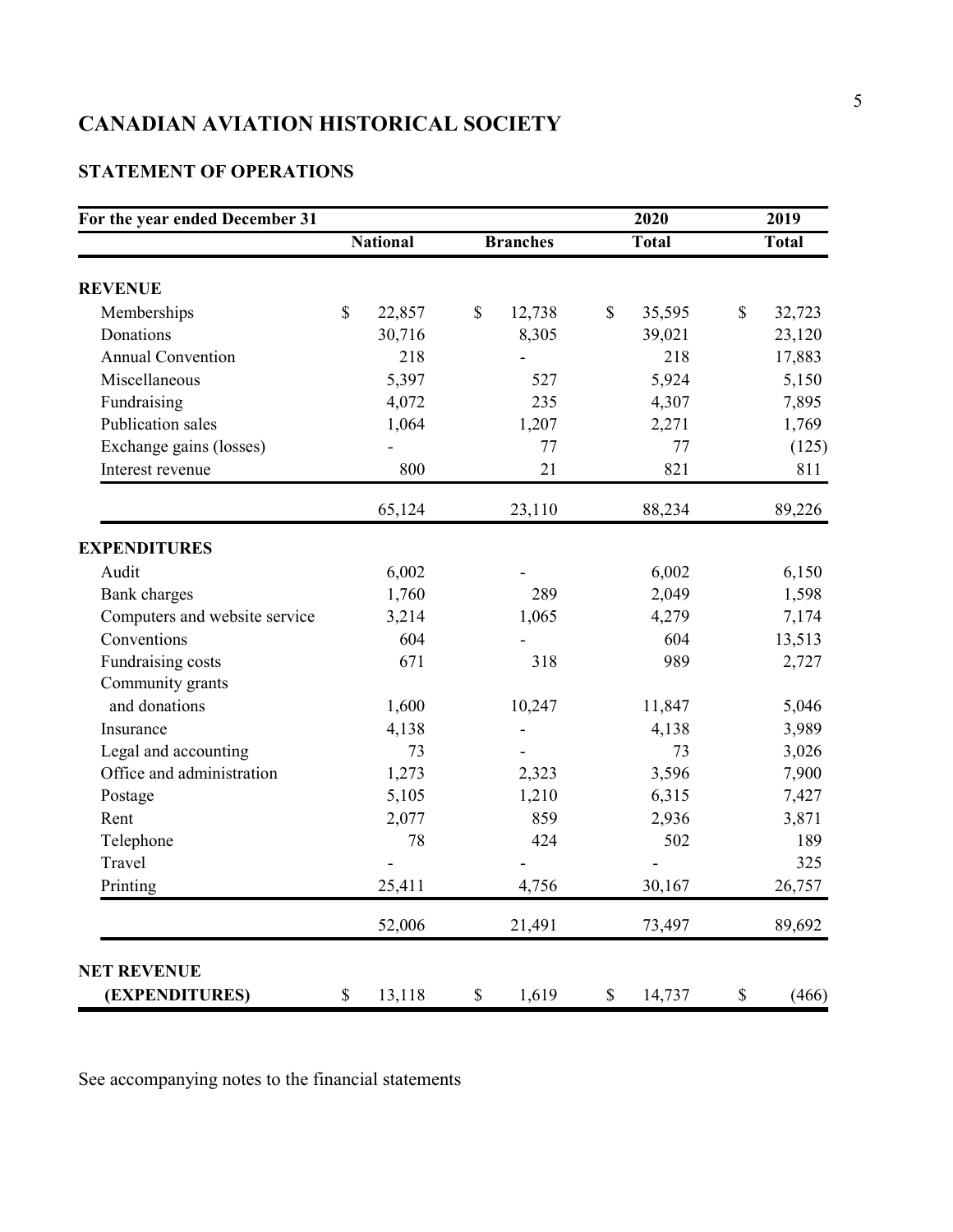## STATEMENT OF OPERATIONS

| For the year ended December 31 |                 |                          | 2020         | 2019         |
|--------------------------------|-----------------|--------------------------|--------------|--------------|
|                                | <b>National</b> | <b>Branches</b>          | <b>Total</b> | <b>Total</b> |
| <b>REVENUE</b>                 |                 |                          |              |              |
| Memberships                    | \$<br>22,857    | \$<br>12,738             | \$<br>35,595 | \$<br>32,723 |
| Donations                      | 30,716          | 8,305                    | 39,021       | 23,120       |
| <b>Annual Convention</b>       | 218             | $\overline{\phantom{a}}$ | 218          | 17,883       |
| Miscellaneous                  | 5,397           | 527                      | 5,924        | 5,150        |
| Fundraising                    | 4,072           | 235                      | 4,307        | 7,895        |
| Publication sales              | 1,064           | 1,207                    | 2,271        | 1,769        |
| Exchange gains (losses)        |                 | 77                       | 77           | (125)        |
| Interest revenue               | 800             | 21                       | 821          | 811          |
|                                | 65,124          | 23,110                   | 88,234       | 89,226       |
| <b>EXPENDITURES</b>            |                 |                          |              |              |
| Audit                          | 6,002           |                          | 6,002        | 6,150        |
| <b>Bank</b> charges            | 1,760           | 289                      | 2,049        | 1,598        |
| Computers and website service  | 3,214           | 1,065                    | 4,279        | 7,174        |
| Conventions                    | 604             |                          | 604          | 13,513       |
| Fundraising costs              | 671             | 318                      | 989          | 2,727        |
| Community grants               |                 |                          |              |              |
| and donations                  | 1,600           | 10,247                   | 11,847       | 5,046        |
| Insurance                      | 4,138           | $\overline{a}$           | 4,138        | 3,989        |
| Legal and accounting           | 73              |                          | 73           | 3,026        |
| Office and administration      | 1,273           | 2,323                    | 3,596        | 7,900        |
| Postage                        | 5,105           | 1,210                    | 6,315        | 7,427        |
| Rent                           | 2,077           | 859                      | 2,936        | 3,871        |
| Telephone                      | 78              | 424                      | 502          | 189          |
| Travel                         |                 |                          |              | 325          |
| Printing                       | 25,411          | 4,756                    | 30,167       | 26,757       |
|                                | 52,006          | 21,491                   | 73,497       | 89,692       |
| <b>NET REVENUE</b>             |                 |                          |              |              |
| (EXPENDITURES)                 | \$<br>13,118    | \$<br>1,619              | \$<br>14,737 | \$<br>(466)  |

See accompanying notes to the financial statements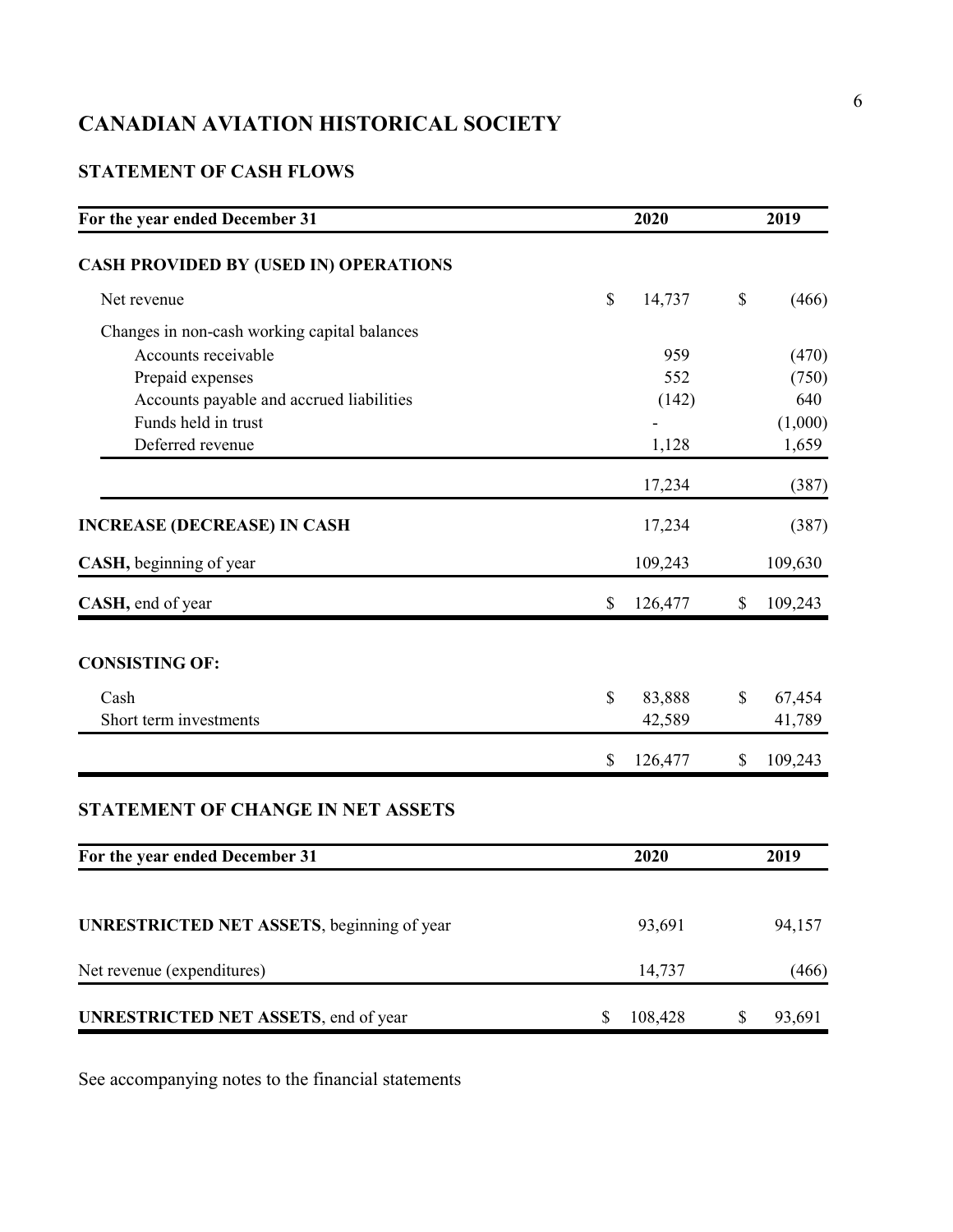## STATEMENT OF CASH FLOWS

| For the year ended December 31                     | 2020         |         |                           | 2019    |  |
|----------------------------------------------------|--------------|---------|---------------------------|---------|--|
| <b>CASH PROVIDED BY (USED IN) OPERATIONS</b>       |              |         |                           |         |  |
| Net revenue                                        | $\mathbb{S}$ | 14,737  | $\boldsymbol{\mathsf{S}}$ | (466)   |  |
| Changes in non-cash working capital balances       |              |         |                           |         |  |
| Accounts receivable                                |              | 959     |                           | (470)   |  |
| Prepaid expenses                                   |              | 552     |                           | (750)   |  |
| Accounts payable and accrued liabilities           |              | (142)   |                           | 640     |  |
| Funds held in trust                                |              |         |                           | (1,000) |  |
| Deferred revenue                                   |              | 1,128   |                           | 1,659   |  |
|                                                    |              | 17,234  |                           | (387)   |  |
| <b>INCREASE (DECREASE) IN CASH</b>                 |              | 17,234  |                           | (387)   |  |
| CASH, beginning of year                            |              | 109,243 |                           | 109,630 |  |
| CASH, end of year                                  | \$           | 126,477 | \$                        | 109,243 |  |
| <b>CONSISTING OF:</b>                              |              |         |                           |         |  |
| Cash                                               | \$           | 83,888  | \$                        | 67,454  |  |
| Short term investments                             |              | 42,589  |                           | 41,789  |  |
|                                                    | \$           | 126,477 | \$                        | 109,243 |  |
| <b>STATEMENT OF CHANGE IN NET ASSETS</b>           |              |         |                           |         |  |
| For the year ended December 31                     |              | 2020    |                           | 2019    |  |
|                                                    |              |         |                           |         |  |
| <b>UNRESTRICTED NET ASSETS</b> , beginning of year |              | 93,691  |                           | 94,157  |  |
| Net revenue (expenditures)                         |              | 14,737  |                           | (466)   |  |
| <b>UNRESTRICTED NET ASSETS, end of year</b>        | \$           | 108,428 | \$                        | 93,691  |  |

See accompanying notes to the financial statements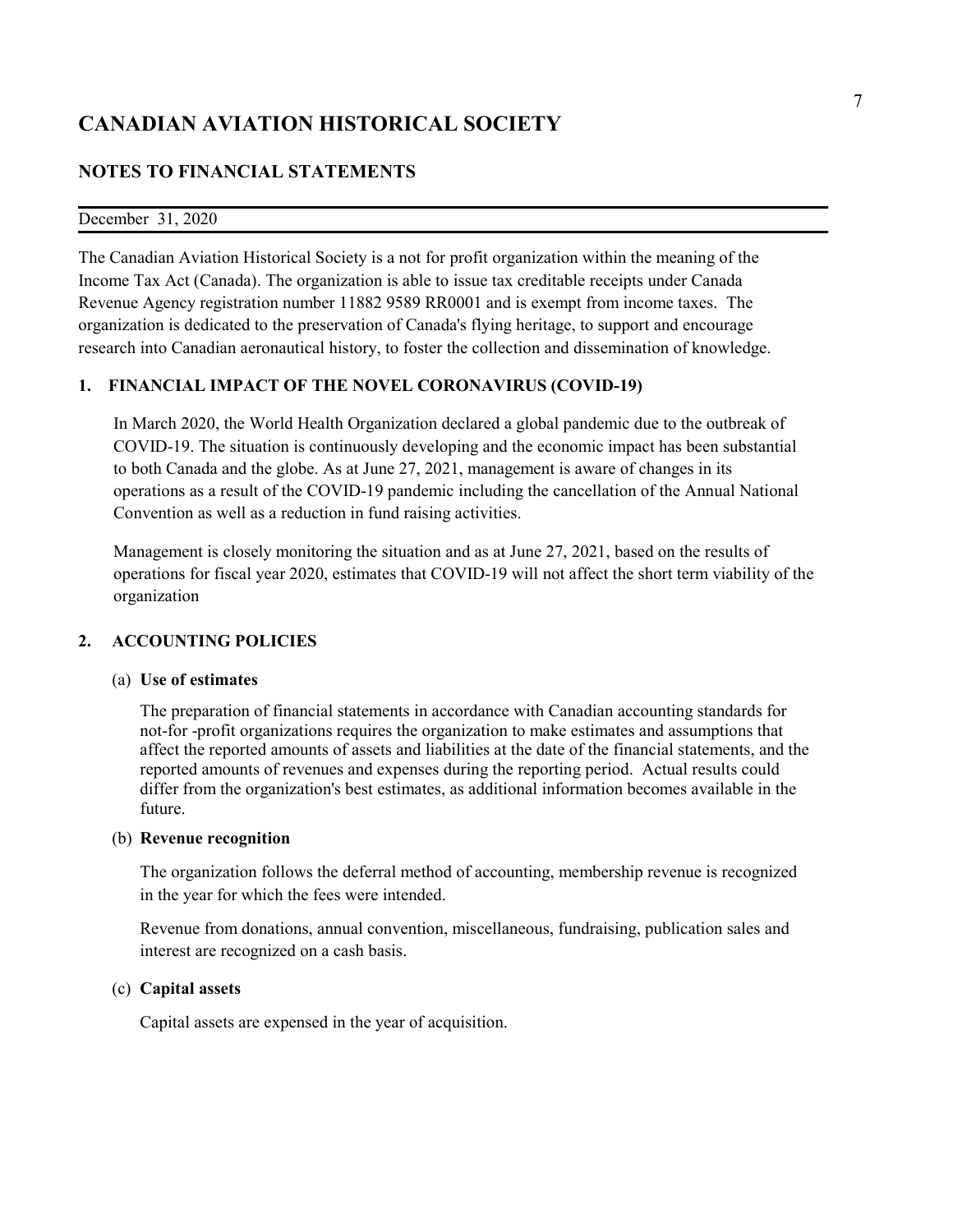### NOTES TO FINANCIAL STATEMENTS

#### December 31, 2020

The Canadian Aviation Historical Society is a not for profit organization within the meaning of the Income Tax Act (Canada). The organization is able to issue tax creditable receipts under Canada Revenue Agency registration number 11882 9589 RR0001 and is exempt from income taxes. The organization is dedicated to the preservation of Canada's flying heritage, to support and encourage research into Canadian aeronautical history, to foster the collection and dissemination of knowledge.

#### 1. FINANCIAL IMPACT OF THE NOVEL CORONAVIRUS (COVID-19)

In March 2020, the World Health Organization declared a global pandemic due to the outbreak of COVID-19. The situation is continuously developing and the economic impact has been substantial to both Canada and the globe. As at June 27, 2021, management is aware of changes in its operations as a result of the COVID-19 pandemic including the cancellation of the Annual National Convention as well as a reduction in fund raising activities.

Management is closely monitoring the situation and as at June 27, 2021, based on the results of operations for fiscal year 2020, estimates that COVID-19 will not affect the short term viability of the organization

#### 2. ACCOUNTING POLICIES

#### (a) Use of estimates

The preparation of financial statements in accordance with Canadian accounting standards for not-for -profit organizations requires the organization to make estimates and assumptions that affect the reported amounts of assets and liabilities at the date of the financial statements, and the reported amounts of revenues and expenses during the reporting period. Actual results could differ from the organization's best estimates, as additional information becomes available in the future.

#### (b) Revenue recognition

The organization follows the deferral method of accounting, membership revenue is recognized in the year for which the fees were intended.

Revenue from donations, annual convention, miscellaneous, fundraising, publication sales and interest are recognized on a cash basis.

#### (c) Capital assets

Capital assets are expensed in the year of acquisition.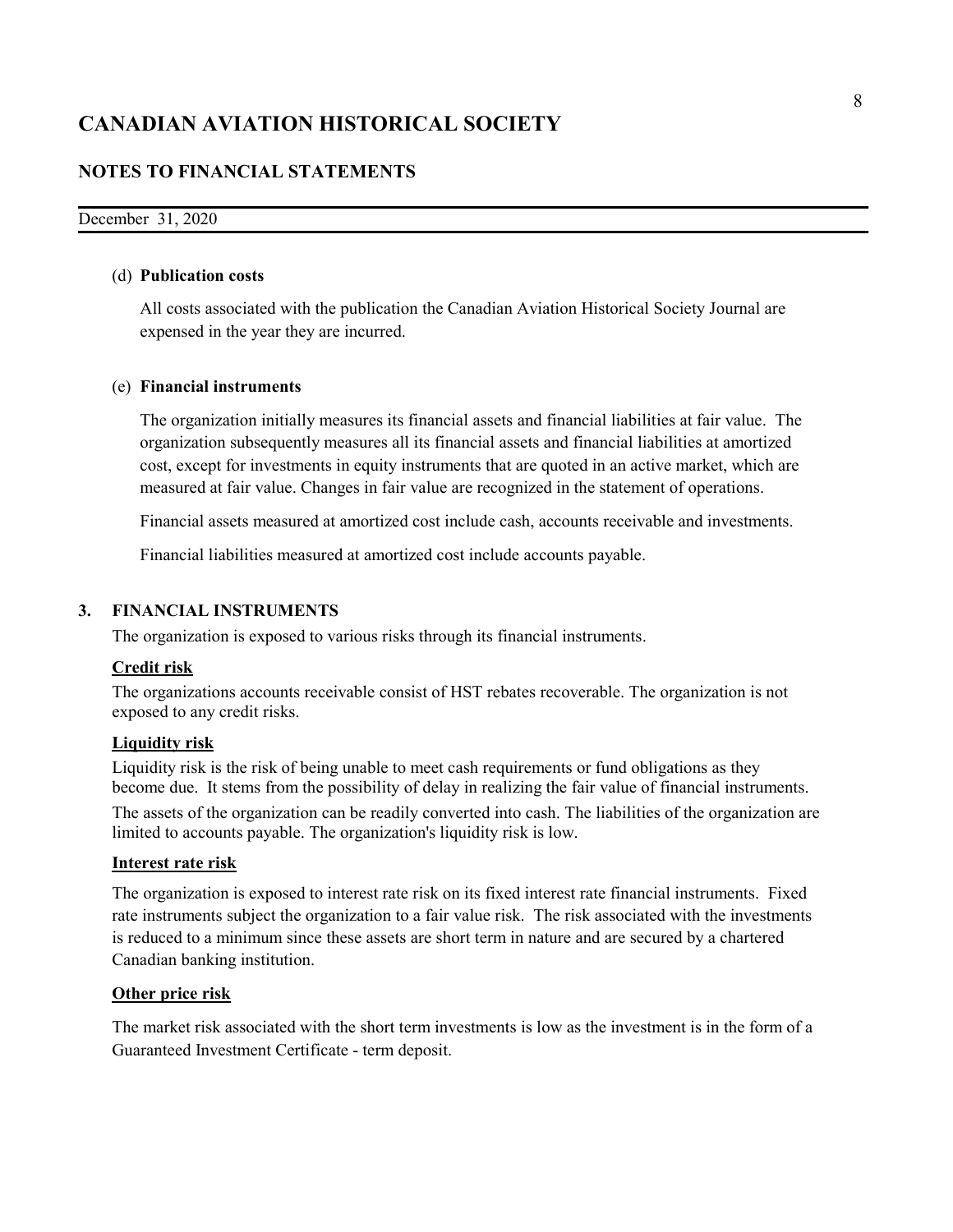### NOTES TO FINANCIAL STATEMENTS

#### December 31, 2020

#### (d) Publication costs

All costs associated with the publication the Canadian Aviation Historical Society Journal are expensed in the year they are incurred.

#### (e) Financial instruments

The organization initially measures its financial assets and financial liabilities at fair value. The organization subsequently measures all its financial assets and financial liabilities at amortized cost, except for investments in equity instruments that are quoted in an active market, which are measured at fair value. Changes in fair value are recognized in the statement of operations.

Financial assets measured at amortized cost include cash, accounts receivable and investments.

Financial liabilities measured at amortized cost include accounts payable.

#### 3. FINANCIAL INSTRUMENTS

The organization is exposed to various risks through its financial instruments.

#### Credit risk

The organizations accounts receivable consist of HST rebates recoverable. The organization is not exposed to any credit risks.

#### Liquidity risk

Liquidity risk is the risk of being unable to meet cash requirements or fund obligations as they become due. It stems from the possibility of delay in realizing the fair value of financial instruments.

The assets of the organization can be readily converted into cash. The liabilities of the organization are limited to accounts payable. The organization's liquidity risk is low.

#### Interest rate risk

The organization is exposed to interest rate risk on its fixed interest rate financial instruments. Fixed rate instruments subject the organization to a fair value risk. The risk associated with the investments is reduced to a minimum since these assets are short term in nature and are secured by a chartered Canadian banking institution.

#### Other price risk

The market risk associated with the short term investments is low as the investment is in the form of a Guaranteed Investment Certificate - term deposit.